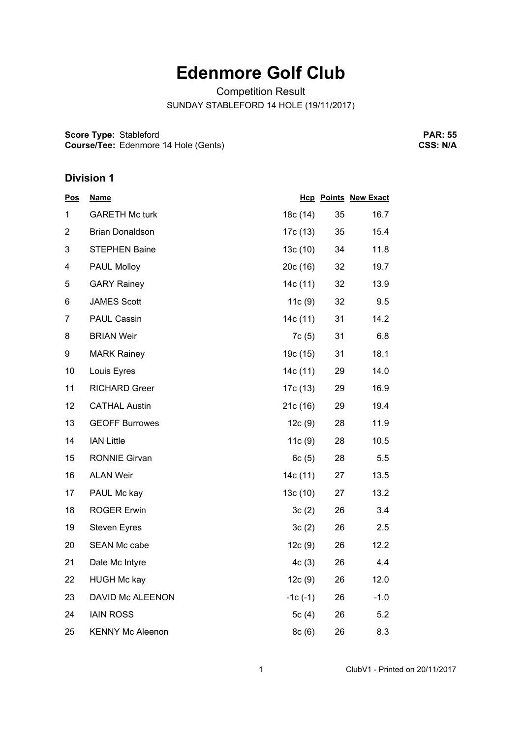## **Edenmore Golf Club**

Competition Result

SUNDAY STABLEFORD 14 HOLE (19/11/2017)

**Score Type: Course/Tee:** Stableford Edenmore 14 Hole (Gents)

**PAR: 55 CSS: N/A**

## **Division 1**

| <b>Pos</b>              | <u>Name</u>             |           |    | <b>Hcp Points New Exact</b> |
|-------------------------|-------------------------|-----------|----|-----------------------------|
| 1                       | <b>GARETH Mc turk</b>   | 18c (14)  | 35 | 16.7                        |
| $\overline{2}$          | <b>Brian Donaldson</b>  | 17c (13)  | 35 | 15.4                        |
| 3                       | <b>STEPHEN Baine</b>    | 13c(10)   | 34 | 11.8                        |
| $\overline{\mathbf{4}}$ | PAUL Molloy             | 20c(16)   | 32 | 19.7                        |
| 5                       | <b>GARY Rainey</b>      | 14c (11)  | 32 | 13.9                        |
| 6                       | <b>JAMES Scott</b>      | 11c(9)    | 32 | 9.5                         |
| $\overline{7}$          | PAUL Cassin             | 14c (11)  | 31 | 14.2                        |
| 8                       | <b>BRIAN Weir</b>       | 7c(5)     | 31 | 6.8                         |
| 9                       | <b>MARK Rainey</b>      | 19c (15)  | 31 | 18.1                        |
| 10                      | Louis Eyres             | 14c (11)  | 29 | 14.0                        |
| 11                      | <b>RICHARD Greer</b>    | 17c (13)  | 29 | 16.9                        |
| 12                      | <b>CATHAL Austin</b>    | 21c(16)   | 29 | 19.4                        |
| 13                      | <b>GEOFF Burrowes</b>   | 12c(9)    | 28 | 11.9                        |
| 14                      | <b>IAN Little</b>       | 11c(9)    | 28 | 10.5                        |
| 15                      | <b>RONNIE Girvan</b>    | 6c(5)     | 28 | 5.5                         |
| 16                      | <b>ALAN Weir</b>        | 14c (11)  | 27 | 13.5                        |
| 17                      | PAUL Mc kay             | 13c(10)   | 27 | 13.2                        |
| 18                      | <b>ROGER Erwin</b>      | 3c(2)     | 26 | 3.4                         |
| 19                      | <b>Steven Eyres</b>     | 3c(2)     | 26 | 2.5                         |
| 20                      | <b>SEAN Mc cabe</b>     | 12c(9)    | 26 | 12.2                        |
| 21                      | Dale Mc Intyre          | 4c(3)     | 26 | 4.4                         |
| 22                      | <b>HUGH Mc kay</b>      | 12c(9)    | 26 | 12.0                        |
| 23                      | DAVID Mc ALEENON        | $-1c(-1)$ | 26 | $-1.0$                      |
| 24                      | <b>IAIN ROSS</b>        | 5 $c(4)$  | 26 | 5.2                         |
| 25                      | <b>KENNY Mc Aleenon</b> | 8c(6)     | 26 | 8.3                         |